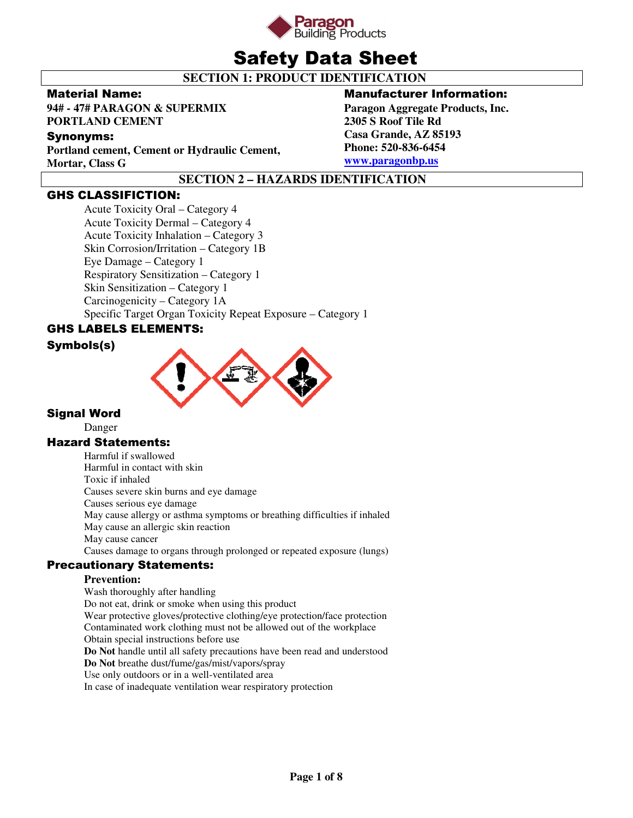

# Safety Data Sheet

## **SECTION 1: PRODUCT IDENTIFICATION**

### Material Name:

**94# - 47# PARAGON & SUPERMIX PORTLAND CEMENT** 

## Synonyms:

**Portland cement, Cement or Hydraulic Cement, Mortar, Class G** 

## Manufacturer Information:

**Paragon Aggregate Products, Inc. 2305 S Roof Tile Rd Casa Grande, AZ 85193 Phone: 520-836-6454 www.paragonbp.us**

## **SECTION 2 – HAZARDS IDENTIFICATION**

## GHS CLASSIFICTION:

Acute Toxicity Oral – Category 4 Acute Toxicity Dermal – Category 4 Acute Toxicity Inhalation – Category 3 Skin Corrosion/Irritation – Category 1B Eye Damage – Category 1 Respiratory Sensitization – Category 1 Skin Sensitization – Category 1 Carcinogenicity – Category 1A Specific Target Organ Toxicity Repeat Exposure – Category 1

## GHS LABELS ELEMENTS:

## Symbols(s)



## Signal Word

Danger

## Hazard Statements:

Harmful if swallowed Harmful in contact with skin Toxic if inhaled Causes severe skin burns and eye damage Causes serious eye damage May cause allergy or asthma symptoms or breathing difficulties if inhaled May cause an allergic skin reaction May cause cancer Causes damage to organs through prolonged or repeated exposure (lungs)

## Precautionary Statements:

## **Prevention:**

Wash thoroughly after handling Do not eat, drink or smoke when using this product Wear protective gloves/protective clothing/eye protection/face protection Contaminated work clothing must not be allowed out of the workplace Obtain special instructions before use **Do Not** handle until all safety precautions have been read and understood **Do Not** breathe dust/fume/gas/mist/vapors/spray Use only outdoors or in a well-ventilated area In case of inadequate ventilation wear respiratory protection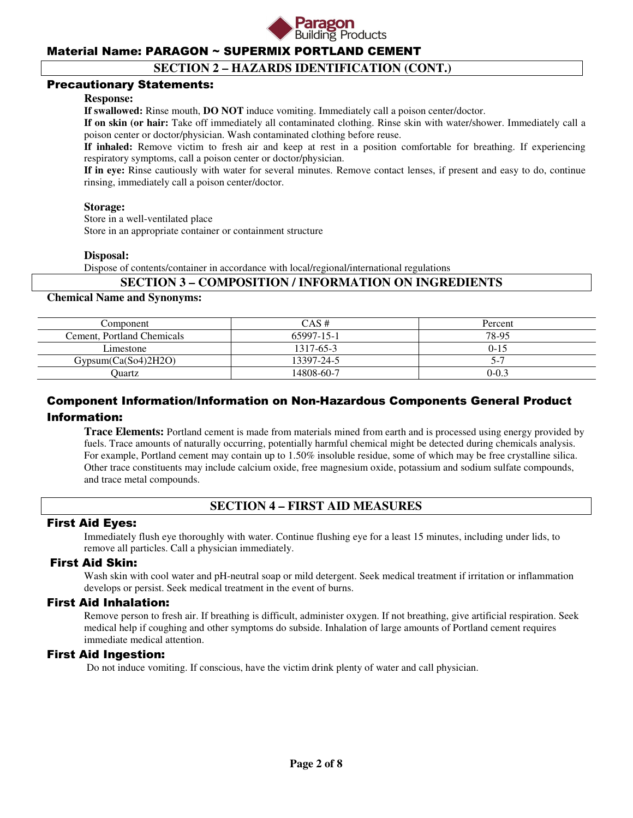

## **SECTION 2 – HAZARDS IDENTIFICATION (CONT.)**

### Precautionary Statements:

#### **Response:**

**If swallowed:** Rinse mouth, **DO NOT** induce vomiting. Immediately call a poison center/doctor.

**If on skin (or hair:** Take off immediately all contaminated clothing. Rinse skin with water/shower. Immediately call a poison center or doctor/physician. Wash contaminated clothing before reuse.

**If inhaled:** Remove victim to fresh air and keep at rest in a position comfortable for breathing. If experiencing respiratory symptoms, call a poison center or doctor/physician.

**If in eye:** Rinse cautiously with water for several minutes. Remove contact lenses, if present and easy to do, continue rinsing, immediately call a poison center/doctor.

#### **Storage:**

 Store in a well-ventilated place Store in an appropriate container or containment structure

#### **Disposal:**

Dispose of contents/container in accordance with local/regional/international regulations

### **SECTION 3 – COMPOSITION / INFORMATION ON INGREDIENTS**

#### **Chemical Name and Synonyms:**

| Component                  | $CAS \#$   | Percent   |
|----------------------------|------------|-----------|
| Cement, Portland Chemicals | 65997-15-1 | 78-95     |
| Limestone                  | 1317-65-3  | $0 - 15$  |
| Gypsum(Ca(So4)2H2O)        | 13397-24-5 |           |
| Ouartz                     | 14808-60-7 | $0 - 0.3$ |

## Component Information/Information on Non-Hazardous Components General Product Information:

**Trace Elements:** Portland cement is made from materials mined from earth and is processed using energy provided by fuels. Trace amounts of naturally occurring, potentially harmful chemical might be detected during chemicals analysis. For example, Portland cement may contain up to 1.50% insoluble residue, some of which may be free crystalline silica. Other trace constituents may include calcium oxide, free magnesium oxide, potassium and sodium sulfate compounds, and trace metal compounds.

## **SECTION 4 – FIRST AID MEASURES**

#### First Aid Eyes:

Immediately flush eye thoroughly with water. Continue flushing eye for a least 15 minutes, including under lids, to remove all particles. Call a physician immediately.

## First Aid Skin:

Wash skin with cool water and pH-neutral soap or mild detergent. Seek medical treatment if irritation or inflammation develops or persist. Seek medical treatment in the event of burns.

#### First Aid Inhalation:

Remove person to fresh air. If breathing is difficult, administer oxygen. If not breathing, give artificial respiration. Seek medical help if coughing and other symptoms do subside. Inhalation of large amounts of Portland cement requires immediate medical attention.

#### First Aid Ingestion:

Do not induce vomiting. If conscious, have the victim drink plenty of water and call physician.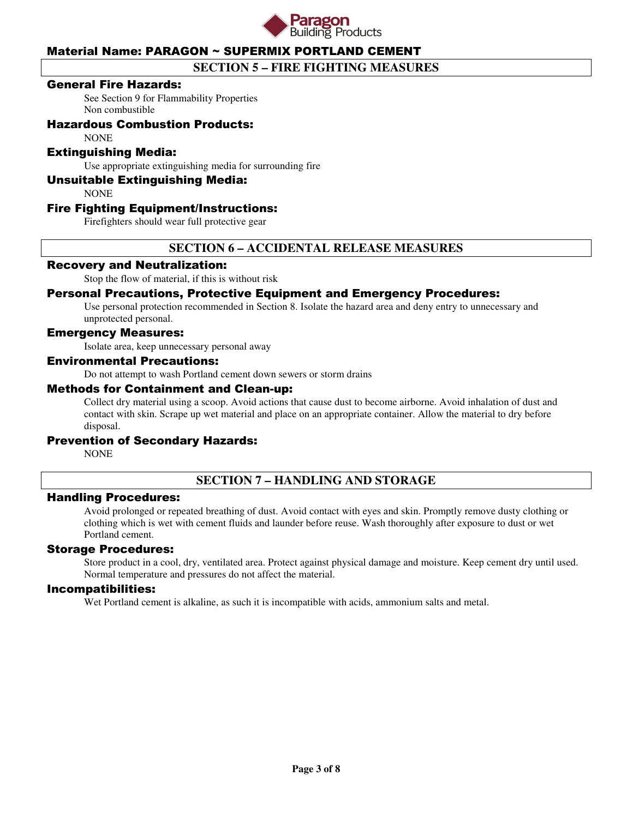

## **SECTION 5 – FIRE FIGHTING MEASURES**

### General Fire Hazards:

See Section 9 for Flammability Properties Non combustible

## Hazardous Combustion Products:

**NONE** 

### Extinguishing Media:

Use appropriate extinguishing media for surrounding fire

### Unsuitable Extinguishing Media:

**NONE** 

### Fire Fighting Equipment/Instructions:

Firefighters should wear full protective gear

## **SECTION 6 – ACCIDENTAL RELEASE MEASURES**

#### Recovery and Neutralization:

Stop the flow of material, if this is without risk

### Personal Precautions, Protective Equipment and Emergency Procedures:

Use personal protection recommended in Section 8. Isolate the hazard area and deny entry to unnecessary and unprotected personal.

#### Emergency Measures:

Isolate area, keep unnecessary personal away

#### Environmental Precautions:

Do not attempt to wash Portland cement down sewers or storm drains

#### Methods for Containment and Clean-up:

Collect dry material using a scoop. Avoid actions that cause dust to become airborne. Avoid inhalation of dust and contact with skin. Scrape up wet material and place on an appropriate container. Allow the material to dry before disposal.

#### Prevention of Secondary Hazards:

**NONE** 

## **SECTION 7 – HANDLING AND STORAGE**

#### Handling Procedures:

Avoid prolonged or repeated breathing of dust. Avoid contact with eyes and skin. Promptly remove dusty clothing or clothing which is wet with cement fluids and launder before reuse. Wash thoroughly after exposure to dust or wet Portland cement.

#### Storage Procedures:

Store product in a cool, dry, ventilated area. Protect against physical damage and moisture. Keep cement dry until used. Normal temperature and pressures do not affect the material.

#### Incompatibilities:

Wet Portland cement is alkaline, as such it is incompatible with acids, ammonium salts and metal.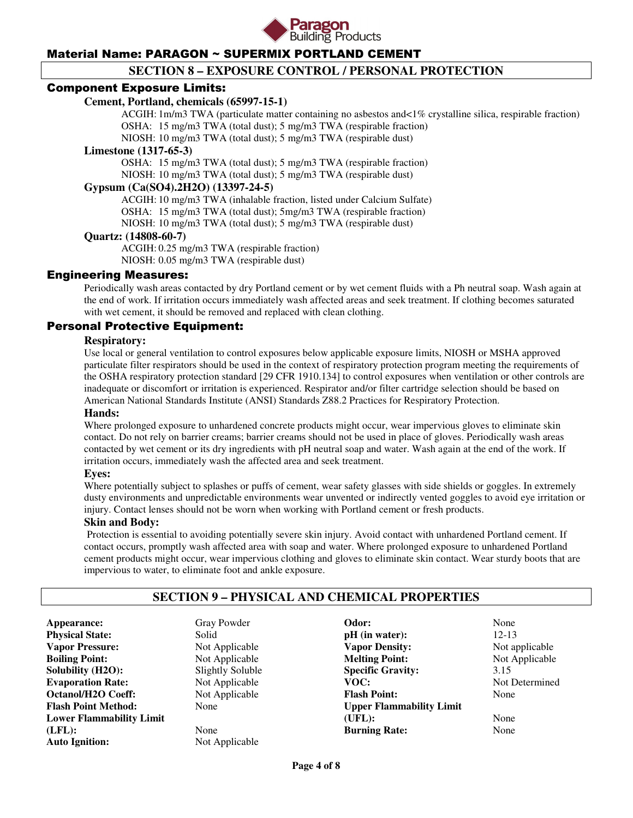

## **SECTION 8 – EXPOSURE CONTROL / PERSONAL PROTECTION**

### Component Exposure Limits:

#### **Cement, Portland, chemicals (65997-15-1)**

 ACGIH: 1m/m3 TWA (particulate matter containing no asbestos and<1% crystalline silica, respirable fraction) OSHA: 15 mg/m3 TWA (total dust); 5 mg/m3 TWA (respirable fraction)

NIOSH: 10 mg/m3 TWA (total dust); 5 mg/m3 TWA (respirable dust)

#### **Limestone (1317-65-3)**

 OSHA: 15 mg/m3 TWA (total dust); 5 mg/m3 TWA (respirable fraction) NIOSH: 10 mg/m3 TWA (total dust); 5 mg/m3 TWA (respirable dust)

### **Gypsum (Ca(SO4).2H2O) (13397-24-5)**

 ACGIH: 10 mg/m3 TWA (inhalable fraction, listed under Calcium Sulfate) OSHA: 15 mg/m3 TWA (total dust); 5mg/m3 TWA (respirable fraction) NIOSH: 10 mg/m3 TWA (total dust); 5 mg/m3 TWA (respirable dust)

#### **Quartz: (14808-60-7)**

 ACGIH: 0.25 mg/m3 TWA (respirable fraction) NIOSH: 0.05 mg/m3 TWA (respirable dust)

#### Engineering Measures:

Periodically wash areas contacted by dry Portland cement or by wet cement fluids with a Ph neutral soap. Wash again at the end of work. If irritation occurs immediately wash affected areas and seek treatment. If clothing becomes saturated with wet cement, it should be removed and replaced with clean clothing.

## Personal Protective Equipment:

#### **Respiratory:**

Use local or general ventilation to control exposures below applicable exposure limits, NIOSH or MSHA approved particulate filter respirators should be used in the context of respiratory protection program meeting the requirements of the OSHA respiratory protection standard [29 CFR 1910.134] to control exposures when ventilation or other controls are inadequate or discomfort or irritation is experienced. Respirator and/or filter cartridge selection should be based on American National Standards Institute (ANSI) Standards Z88.2 Practices for Respiratory Protection.

#### **Hands:**

Where prolonged exposure to unhardened concrete products might occur, wear impervious gloves to eliminate skin contact. Do not rely on barrier creams; barrier creams should not be used in place of gloves. Periodically wash areas contacted by wet cement or its dry ingredients with pH neutral soap and water. Wash again at the end of the work. If irritation occurs, immediately wash the affected area and seek treatment.

#### **Eyes:**

Where potentially subject to splashes or puffs of cement, wear safety glasses with side shields or goggles. In extremely dusty environments and unpredictable environments wear unvented or indirectly vented goggles to avoid eye irritation or injury. Contact lenses should not be worn when working with Portland cement or fresh products.

#### **Skin and Body:**

Protection is essential to avoiding potentially severe skin injury. Avoid contact with unhardened Portland cement. If contact occurs, promptly wash affected area with soap and water. Where prolonged exposure to unhardened Portland cement products might occur, wear impervious clothing and gloves to eliminate skin contact. Wear sturdy boots that are impervious to water, to eliminate foot and ankle exposure.

## **SECTION 9 – PHYSICAL AND CHEMICAL PROPERTIES**

**Appearance:** Gray Powder **Physical State:** Solid **Vapor Pressure:** Not Applicable **Boiling Point:** Not Applicable **Solubility (H2O):** Slightly Soluble **Evaporation Rate:** Not Applicable **Octanol/H2O Coeff:** Not Applicable **Flash Point Method:** None **Lower Flammability Limit (LFL):** None **Auto Ignition:** Not Applicable

**Odor:** None **pH** (in water): 12-13 **Vapor Density:** Not applicable **Melting Point:** Not Applicable **Specific Gravity:** 3.15<br> **VOC:** Not 1 **Flash Point:** None **Upper Flammability Limit (UFL):** None **Burning Rate:** None

**Not Determined**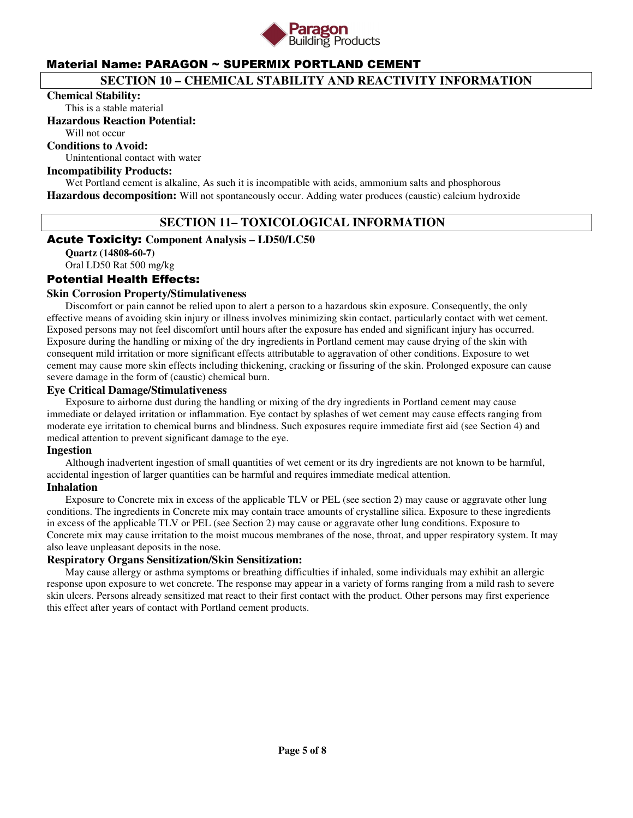

## **SECTION 10 – CHEMICAL STABILITY AND REACTIVITY INFORMATION**

#### **Chemical Stability:**

This is a stable material

#### **Hazardous Reaction Potential:**

Will not occur

### **Conditions to Avoid:**

Unintentional contact with water

#### **Incompatibility Products:**

Wet Portland cement is alkaline, As such it is incompatible with acids, ammonium salts and phosphorous **Hazardous decomposition:** Will not spontaneously occur. Adding water produces (caustic) calcium hydroxide

## **SECTION 11– TOXICOLOGICAL INFORMATION**

### Acute Toxicity: **Component Analysis – LD50/LC50**

**Quartz (14808-60-7)**  Oral LD50 Rat 500 mg/kg

## Potential Health Effects:

### **Skin Corrosion Property/Stimulativeness**

 Discomfort or pain cannot be relied upon to alert a person to a hazardous skin exposure. Consequently, the only effective means of avoiding skin injury or illness involves minimizing skin contact, particularly contact with wet cement. Exposed persons may not feel discomfort until hours after the exposure has ended and significant injury has occurred. Exposure during the handling or mixing of the dry ingredients in Portland cement may cause drying of the skin with consequent mild irritation or more significant effects attributable to aggravation of other conditions. Exposure to wet cement may cause more skin effects including thickening, cracking or fissuring of the skin. Prolonged exposure can cause severe damage in the form of (caustic) chemical burn.

#### **Eye Critical Damage/Stimulativeness**

 Exposure to airborne dust during the handling or mixing of the dry ingredients in Portland cement may cause immediate or delayed irritation or inflammation. Eye contact by splashes of wet cement may cause effects ranging from moderate eye irritation to chemical burns and blindness. Such exposures require immediate first aid (see Section 4) and medical attention to prevent significant damage to the eye.

#### **Ingestion**

 Although inadvertent ingestion of small quantities of wet cement or its dry ingredients are not known to be harmful, accidental ingestion of larger quantities can be harmful and requires immediate medical attention.

## **Inhalation**

 Exposure to Concrete mix in excess of the applicable TLV or PEL (see section 2) may cause or aggravate other lung conditions. The ingredients in Concrete mix may contain trace amounts of crystalline silica. Exposure to these ingredients in excess of the applicable TLV or PEL (see Section 2) may cause or aggravate other lung conditions. Exposure to Concrete mix may cause irritation to the moist mucous membranes of the nose, throat, and upper respiratory system. It may also leave unpleasant deposits in the nose.

#### **Respiratory Organs Sensitization/Skin Sensitization:**

 May cause allergy or asthma symptoms or breathing difficulties if inhaled, some individuals may exhibit an allergic response upon exposure to wet concrete. The response may appear in a variety of forms ranging from a mild rash to severe skin ulcers. Persons already sensitized mat react to their first contact with the product. Other persons may first experience this effect after years of contact with Portland cement products.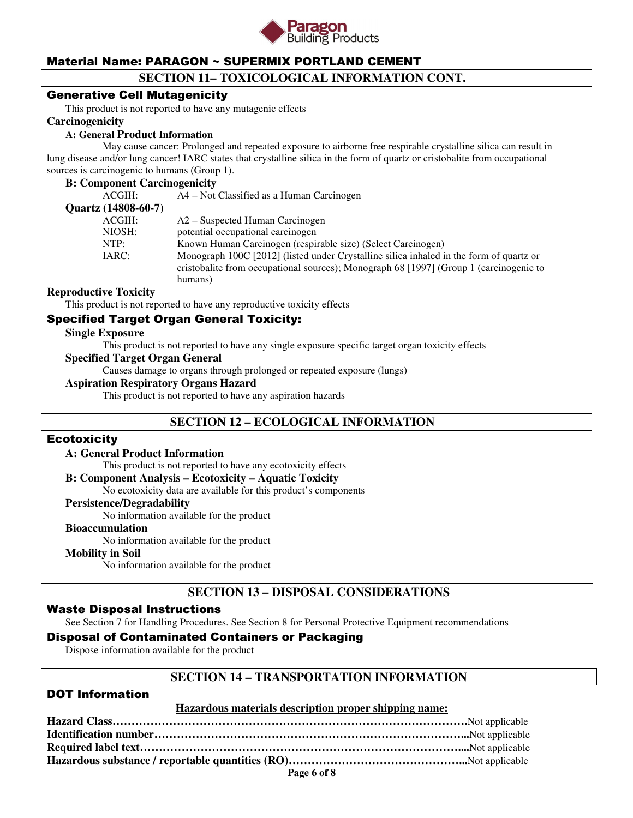

## **SECTION 11– TOXICOLOGICAL INFORMATION CONT.**

### Generative Cell Mutagenicity

This product is not reported to have any mutagenic effects

#### **Carcinogenicity**

#### **A: General Product Information**

May cause cancer: Prolonged and repeated exposure to airborne free respirable crystalline silica can result in lung disease and/or lung cancer! IARC states that crystalline silica in the form of quartz or cristobalite from occupational sources is carcinogenic to humans (Group 1).

#### **B: Component Carcinogenicity**

| ACGIH:              | A4 – Not Classified as a Human Carcinogen                                               |
|---------------------|-----------------------------------------------------------------------------------------|
| Quartz (14808-60-7) |                                                                                         |
| ACGIH:              | A2 – Suspected Human Carcinogen                                                         |
| NIOSH:              | potential occupational carcinogen                                                       |
| NTP:                | Known Human Carcinogen (respirable size) (Select Carcinogen)                            |
| IARC:               | Monograph 100C [2012] (listed under Crystalline silica inhaled in the form of quartz or |
|                     | cristobalite from occupational sources); Monograph 68 [1997] (Group 1 (carcinogenic to  |
|                     | humans)                                                                                 |
|                     |                                                                                         |

#### **Reproductive Toxicity**

This product is not reported to have any reproductive toxicity effects

## Specified Target Organ General Toxicity:

#### **Single Exposure**

This product is not reported to have any single exposure specific target organ toxicity effects

#### **Specified Target Organ General**

Causes damage to organs through prolonged or repeated exposure (lungs)

#### **Aspiration Respiratory Organs Hazard**

This product is not reported to have any aspiration hazards

## **SECTION 12 – ECOLOGICAL INFORMATION**

#### **Ecotoxicity**

#### **A: General Product Information**

This product is not reported to have any ecotoxicity effects

#### **B: Component Analysis – Ecotoxicity – Aquatic Toxicity**

No ecotoxicity data are available for this product's components

#### **Persistence/Degradability**

No information available for the product

#### **Bioaccumulation**

No information available for the product

#### **Mobility in Soil**

No information available for the product

## **SECTION 13 – DISPOSAL CONSIDERATIONS**

#### Waste Disposal Instructions

See Section 7 for Handling Procedures. See Section 8 for Personal Protective Equipment recommendations

## Disposal of Contaminated Containers or Packaging

Dispose information available for the product

#### **SECTION 14 – TRANSPORTATION INFORMATION**

## DOT Information

#### **Hazardous materials description proper shipping name:**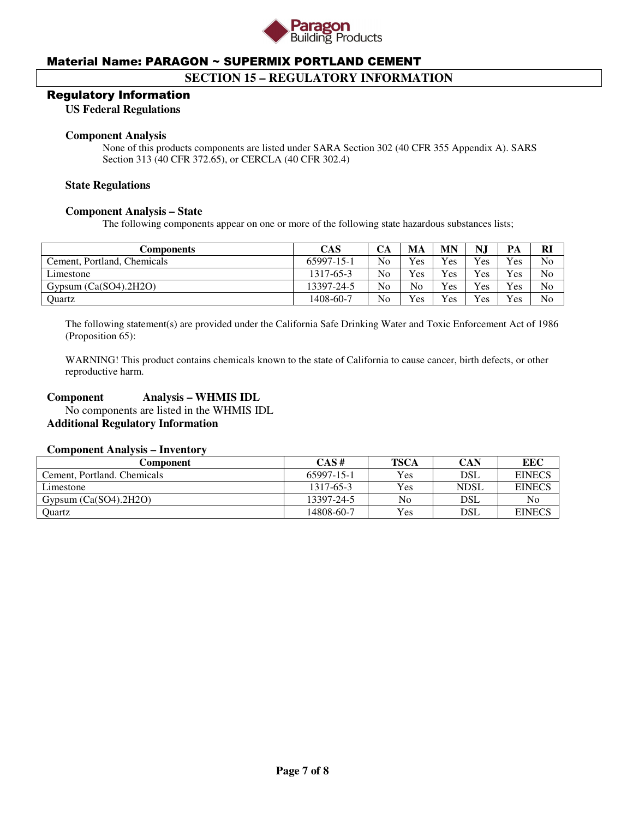

## **SECTION 15 – REGULATORY INFORMATION**

#### Regulatory Information

**US Federal Regulations** 

#### **Component Analysis**

None of this products components are listed under SARA Section 302 (40 CFR 355 Appendix A). SARS Section 313 (40 CFR 372.65), or CERCLA (40 CFR 302.4)

#### **State Regulations**

#### **Component Analysis – State**

The following components appear on one or more of the following state hazardous substances lists;

| Components                  | <b>CAS</b> | CА             | MA             | MN  | N.  | PА  | <b>R</b>       |
|-----------------------------|------------|----------------|----------------|-----|-----|-----|----------------|
| Cement, Portland, Chemicals | 65997-15-1 | N <sub>0</sub> | <b>Yes</b>     | Yes | Yes | Yes | N <sub>0</sub> |
| Limestone                   | 1317-65-3  | N <sub>0</sub> | <b>Yes</b>     | Yes | Yes | Yes | No             |
| Gypsum $(Ca(SO4).2H2O)$     | 13397-24-5 | N <sub>o</sub> | N <sub>o</sub> | Yes | Yes | Yes | No             |
| Ouartz                      | 1408-60-7  | No             | <b>Yes</b>     | Yes | Yes | Yes | N <sub>0</sub> |

The following statement(s) are provided under the California Safe Drinking Water and Toxic Enforcement Act of 1986 (Proposition 65):

WARNING! This product contains chemicals known to the state of California to cause cancer, birth defects, or other reproductive harm.

### **Component Analysis – WHMIS IDL**

 No components are listed in the WHMIS IDL **Additional Regulatory Information** 

#### **Component Analysis – Inventory**

| Component                   | CAS#       | <b>TSCA</b> | CAN         | EEC           |
|-----------------------------|------------|-------------|-------------|---------------|
| Cement, Portland, Chemicals | 65997-15-1 | <b>Yes</b>  | DSL         | <b>EINECS</b> |
| Limestone                   | 1317-65-3  | <b>Yes</b>  | <b>NDSL</b> | <b>EINECS</b> |
| Gypsum $(Ca(SO4), 2H2O)$    | 13397-24-5 | No          | DSL         | No            |
| Ouartz                      | 14808-60-7 | <b>Yes</b>  | DSL         | <b>EINECS</b> |